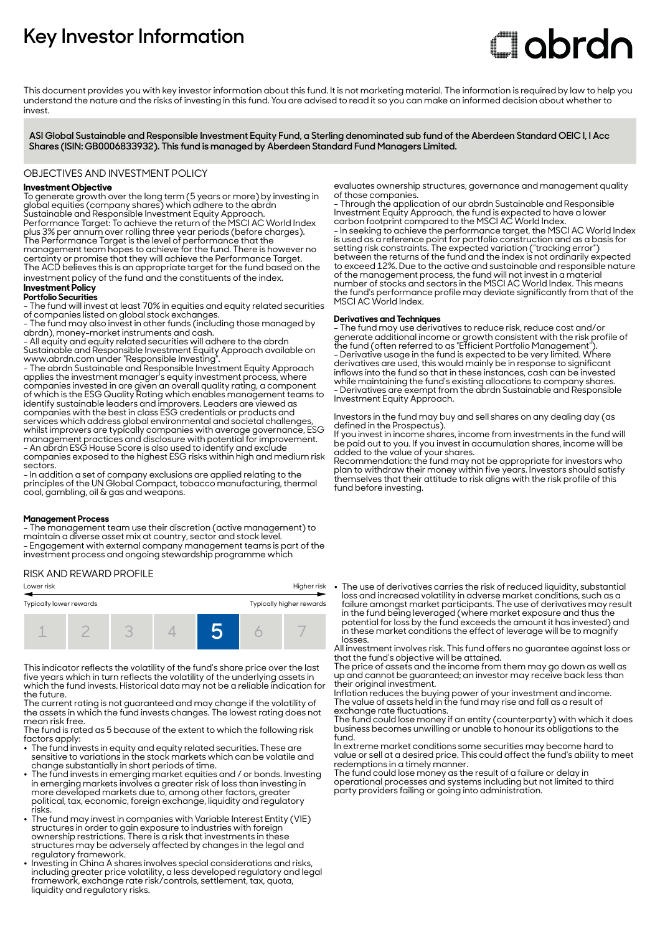# **Key Investor Information**

# **C**labrdn

This document provides you with key investor information about this fund. It is not marketing material. The information is required by law to help you understand the nature and the risks of investing in this fund. You are advised to read it so you can make an informed decision about whether to invest

**ASI Global Sustainable and Responsible Investment Equity Fund, a Sterling denominated sub fund of the Aberdeen Standard OEIC I, I Acc Shares (ISIN: GB0006833932). This fund is managed by Aberdeen Standard Fund Managers Limited.**

# OBJECTIVES AND INVESTMENT POLICY

# **Investment Objective**

To generate growth over the long term (5 years or more) by investing in global equities (company shares) which adhere to the abrdn Sustainable and Responsible Investment Equity Approach. Performance Target: To achieve the return of the MSCI AC World Index plus 3% per annum over rolling three year periods (before charges). The Performance Target is the level of performance that the management team hopes to achieve for the fund. There is however no certainty or promise that they will achieve the Performance Target. The ACD believes this is an appropriate target for the fund based on the

investment policy of the fund and the constituents of the index.

# **Investment Policy**

# **Portfolio Securities**

- The fund will invest at least 70% in equities and equity related securities of companies listed on global stock exchanges.

- The fund may also invest in other funds (including those managed by abrdn), money-market instruments and cash.

- All equity and equity related securities will adhere to the abrdn Sustainable and Responsible Investment Equity Approach available on www.abrdn.com under "Responsible Investing".

- The abrdn Sustainable and Responsible Investment Equity Approach applies the investment manager's equity investment process, where companies invested in are given an overall quality rating, a component of which is the ESG Quality Rating which enables management teams to identify sustainable leaders and improvers. Leaders are viewed as companies with the best in class ESG credentials or products and services which address global environmental and societal challenges, whilst improvers are typically companies with average governance, ESG management practices and disclosure with potential for improvement. - An abrdn ESG House Score is also used to identify and exclude companies exposed to the highest ESG risks within high and medium risk sectors

- In addition a set of company exclusions are applied relating to the principles of the UN Global Compact, tobacco manufacturing, thermal coal, gambling, oil & gas and weapons.

# **Management Process**

- The management team use their discretion (active management) to maintain a diverse asset mix at country, sector and stock level. - Engagement with external company management teams is part of the investment process and ongoing stewardship programme which

# RISK AND REWARD PROFILE

| Higher risk<br>Lower risk                           |  |  |  |  |  |  |  |  |
|-----------------------------------------------------|--|--|--|--|--|--|--|--|
| Typically higher rewards<br>Typically lower rewards |  |  |  |  |  |  |  |  |
| $-$                                                 |  |  |  |  |  |  |  |  |

This indicator reflects the volatility of the fund's share price over the last five years which in turn reflects the volatility of the underlying assets in which the fund invests. Historical data may not be a reliable indication for the future.

The current rating is not guaranteed and may change if the volatility of the assets in which the fund invests changes. The lowest rating does not mean risk free.

The fund is rated as 5 because of the extent to which the following risk

- factors apply: 2 The fund invests in equity and equity related securities. These are sensitive to variations in the stock markets which can be volatile and change substantially in short periods of time.
- The fund invests in emerging market equities and / or bonds. Investing in emerging markets involves a greater risk of loss than investing in more developed markets due to, among other factors, greater political, tax, economic, foreign exchange, liquidity and regulatory risks.
- . The fund may invest in companies with Variable Interest Entity (VIE) structures in order to gain exposure to industries with foreign ownership restrictions. There is a risk that investments in these structures may be adversely affected by changes in the legal and regulatory framework.
- 2 Investing in China A shares involves special considerations and risks, including greater price volatility, a less developed regulatory and legal framework, exchange rate risk/controls, settlement, tax, quota, liquidity and regulatory risks.

evaluates ownership structures, governance and management quality of those companies.

- Through the application of our abrdn Sustainable and Responsible Investment Equity Approach, the fund is expected to have a lower carbon footprint compared to the MSCI AC World Index. - In seeking to achieve the performance target, the MSCI AC World Index is used as a reference point for portfolio construction and as a basis for setting risk constraints. The expected variation ("tracking error") between the returns of the fund and the index is not ordinarily expected to exceed 12%. Due to the active and sustainable and responsible nature of the management process, the fund will not invest in a material number of stocks and sectors in the MSCI AC World Index. This means the fund's performance profile may deviate significantly from that of the MSCI AC World Index.

#### **Derivatives and Techniques**

- The fund may use derivatives to reduce risk, reduce cost and/or generate additional income or growth consistent with the risk profile of the fund (often referred to as "Efficient Portfolio Management"). - Derivative usage in the fund is expected to be very limited. Where derivatives are used, this would mainly be in response to significant inflows into the fund so that in these instances, cash can be invested while maintaining the fund's existing allocations to company shares. - Derivatives are exempt from the abrdn Sustainable and Responsible Investment Equity Approach.

Investors in the fund may buy and sell shares on any dealing day (as defined in the Prospectus).

If you invest in income shares, income from investments in the fund will be paid out to you. If you invest in accumulation shares, income will be added to the value of your shares.

Recommendation: the fund may not be appropriate for investors who plan to withdraw their money within five years. Investors should satisfy themselves that their attitude to risk aligns with the risk profile of this fund before investing.

2 The use of derivatives carries the risk of reduced liquidity, substantial loss and increased volatility in adverse market conditions, such as a failure amongst market participants. The use of derivatives may result in the fund being leveraged (where market exposure and thus the potential for loss by the fund exceeds the amount it has invested) and in these market conditions the effect of leverage will be to magnify losses.

All investment involves risk. This fund offers no guarantee against loss or that the fund's objective will be attained.

The price of assets and the income from them may go down as well as up and cannot be guaranteed; an investor may receive back less than their original investment.

Inflation reduces the buying power of your investment and income. The value of assets held in the fund may rise and fall as a result of exchange rate fluctuations.

The fund could lose money if an entity (counterparty) with which it does business becomes unwilling or unable to honour its obligations to the fund.

In extreme market conditions some securities may become hard to value or sell at a desired price. This could affect the fund's ability to meet redemptions in a timely manner.

The fund could lose money as the result of a failure or delay in operational processes and systems including but not limited to third party providers failing or going into administration.